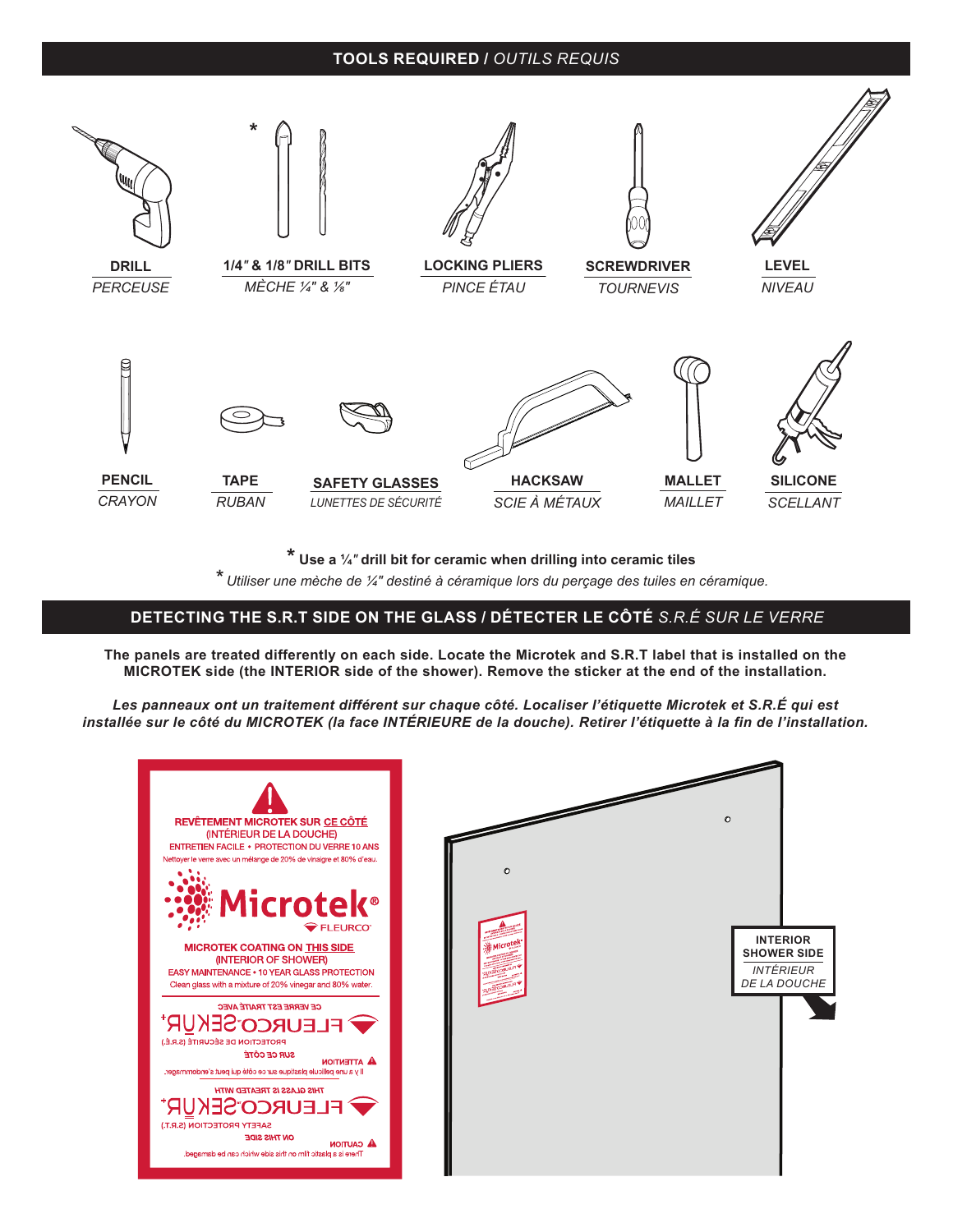#### **TOOLS REQUIRED /** *OUTILS REQUIS*



**\* Use a ¼***"* **drill bit for ceramic when drilling into ceramic tiles**

*\* Utiliser une mèche de ¼" destiné à céramique lors du perçage des tuiles en céramique.*

#### **POSSIBLE CONFIGURATIONS /** *CONFIGURATIONS POSSIBLES* **DETECTING THE S.R.T SIDE ON THE GLASS / DÉTECTER LE CÔTÉ** *S.R.É SUR LE VERRE*

**The panels are treated differently on each side. Locate the Microtek and S.R.T label that is installed on the MICROTEK side (the INTERIOR side of the shower). Remove the sticker at the end of the installation.**

*Les panneaux ont un traitement différent sur chaque côté. Localiser l'étiquette Microtek et S.R.É qui est installée sur le côté du MICROTEK (la face INTÉRIEURE de la douche). Retirer l'étiquette à la fin de l'installation.*

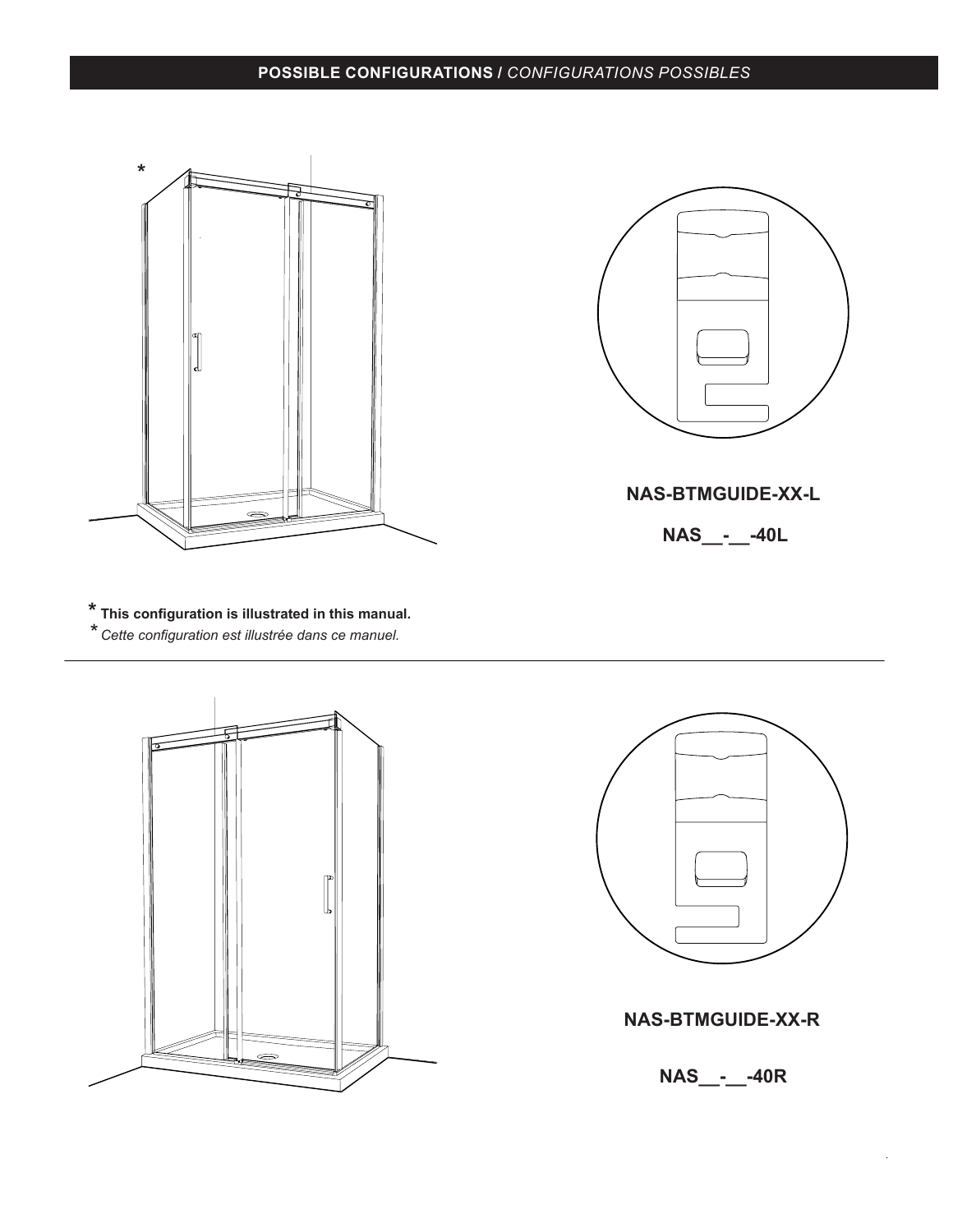## **POSSIBLE CONFIGURATIONS / POSSIBLE CONFIGURATIONS /** *CONFIGURATIONS POSSIBLES*



**NAS-BTMGUIDE-XX-L**

**NAS\_\_-\_\_-40L**

**\* This configuration is illustrated in this manual.** *\* Cette configuration est illustrée dans ce manuel.*





### **NAS-BTMGUIDE-XX-R**

**NAS\_\_-\_\_-40R**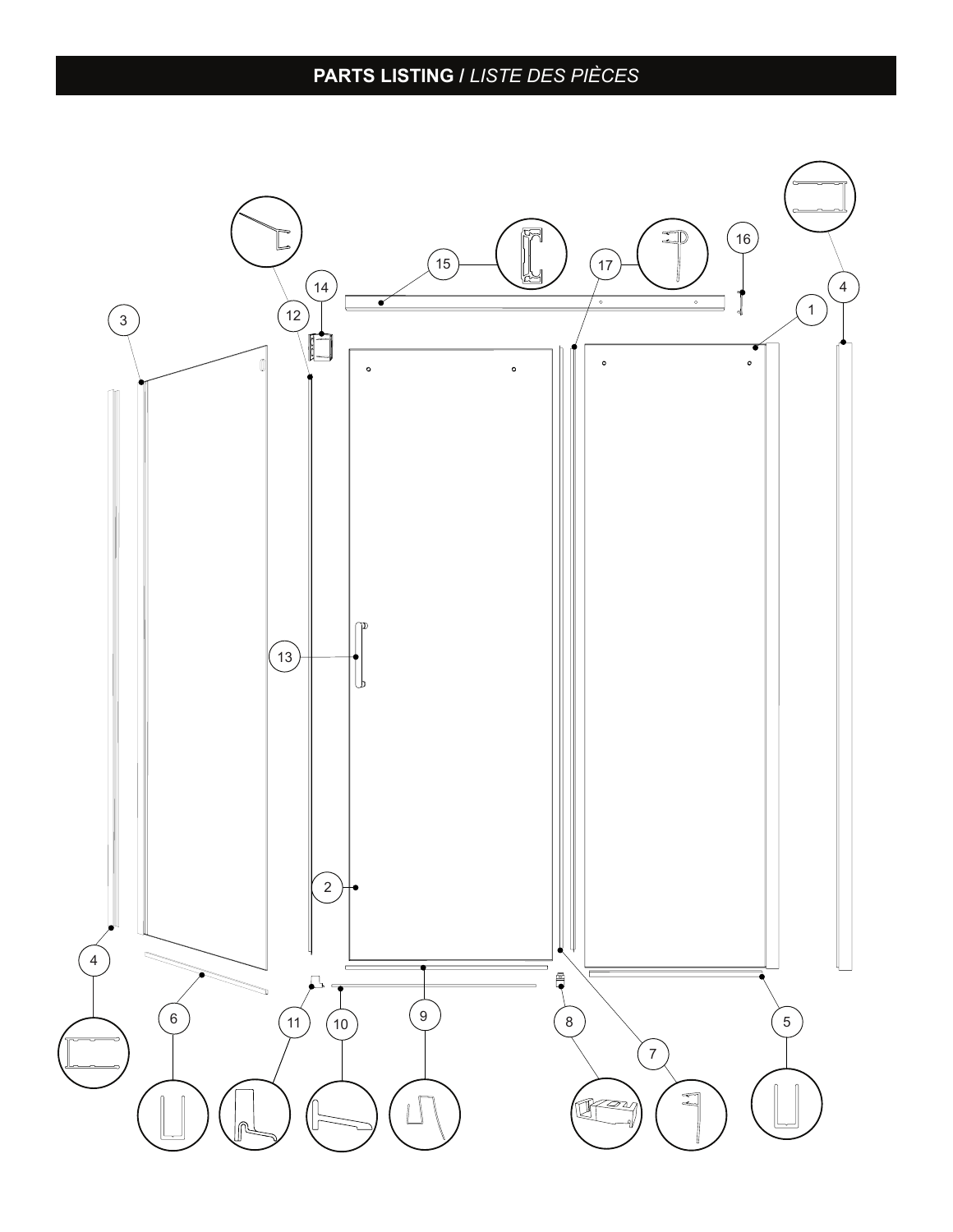# **PARTS LISTING /** *LISTE DES PIÈCES*